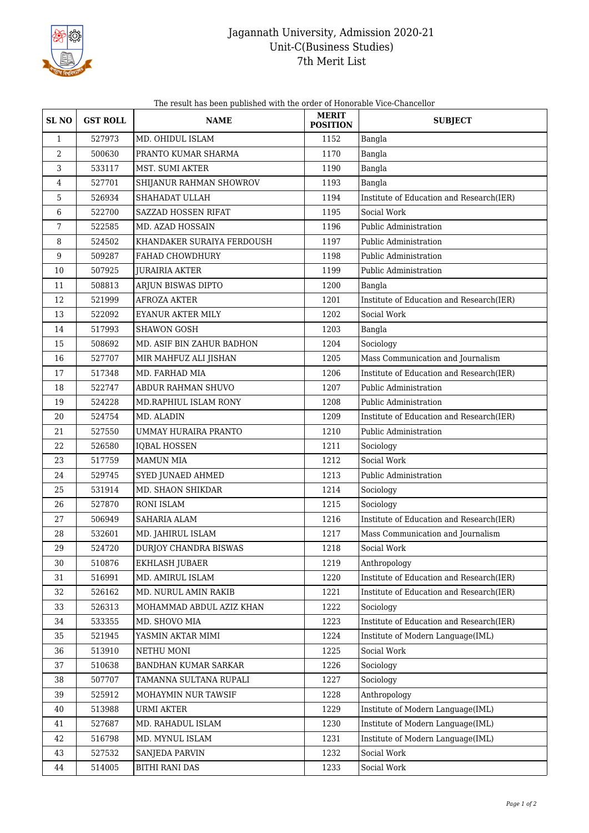

## Jagannath University, Admission 2020-21 Unit-C(Business Studies) 7th Merit List

The result has been published with the order of Honorable Vice-Chancellor

| <b>SLNO</b>  | <b>GST ROLL</b> | <b>NAME</b>                | <b>MERIT</b><br><b>POSITION</b> | <b>SUBJECT</b>                           |
|--------------|-----------------|----------------------------|---------------------------------|------------------------------------------|
| $\mathbf{1}$ | 527973          | MD. OHIDUL ISLAM           | 1152                            | Bangla                                   |
| 2            | 500630          | PRANTO KUMAR SHARMA        | 1170                            | Bangla                                   |
| 3            | 533117          | MST. SUMI AKTER            | 1190                            | Bangla                                   |
| 4            | 527701          | SHIJANUR RAHMAN SHOWROV    | 1193                            | Bangla                                   |
| 5            | 526934          | SHAHADAT ULLAH             | 1194                            | Institute of Education and Research(IER) |
| 6            | 522700          | SAZZAD HOSSEN RIFAT        | 1195                            | Social Work                              |
| 7            | 522585          | MD. AZAD HOSSAIN           | 1196                            | Public Administration                    |
| 8            | 524502          | KHANDAKER SURAIYA FERDOUSH | 1197                            | Public Administration                    |
| 9            | 509287          | FAHAD CHOWDHURY            | 1198                            | Public Administration                    |
| 10           | 507925          | <b>JURAIRIA AKTER</b>      | 1199                            | Public Administration                    |
| 11           | 508813          | ARJUN BISWAS DIPTO         | 1200                            | Bangla                                   |
| 12           | 521999          | <b>AFROZA AKTER</b>        | 1201                            | Institute of Education and Research(IER) |
| 13           | 522092          | EYANUR AKTER MILY          | 1202                            | Social Work                              |
| 14           | 517993          | <b>SHAWON GOSH</b>         | 1203                            | Bangla                                   |
| 15           | 508692          | MD. ASIF BIN ZAHUR BADHON  | 1204                            | Sociology                                |
| 16           | 527707          | MIR MAHFUZ ALI JISHAN      | 1205                            | Mass Communication and Journalism        |
| 17           | 517348          | MD. FARHAD MIA             | 1206                            | Institute of Education and Research(IER) |
| 18           | 522747          | ABDUR RAHMAN SHUVO         | 1207                            | Public Administration                    |
| 19           | 524228          | MD.RAPHIUL ISLAM RONY      | 1208                            | Public Administration                    |
| 20           | 524754          | MD. ALADIN                 | 1209                            | Institute of Education and Research(IER) |
| 21           | 527550          | UMMAY HURAIRA PRANTO       | 1210                            | Public Administration                    |
| 22           | 526580          | <b>IQBAL HOSSEN</b>        | 1211                            | Sociology                                |
| 23           | 517759          | <b>MAMUN MIA</b>           | 1212                            | Social Work                              |
| 24           | 529745          | SYED JUNAED AHMED          | 1213                            | Public Administration                    |
| 25           | 531914          | MD. SHAON SHIKDAR          | 1214                            | Sociology                                |
| 26           | 527870          | <b>RONI ISLAM</b>          | 1215                            | Sociology                                |
| 27           | 506949          | SAHARIA ALAM               | 1216                            | Institute of Education and Research(IER) |
| 28           | 532601          | MD. JAHIRUL ISLAM          | 1217                            | Mass Communication and Journalism        |
| 29           | 524720          | DURJOY CHANDRA BISWAS      | 1218                            | Social Work                              |
| 30           | 510876          | EKHLASH JUBAER             | 1219                            | Anthropology                             |
| 31           | 516991          | MD. AMIRUL ISLAM           | 1220                            | Institute of Education and Research(IER) |
| 32           | 526162          | MD. NURUL AMIN RAKIB       | 1221                            | Institute of Education and Research(IER) |
| 33           | 526313          | MOHAMMAD ABDUL AZIZ KHAN   | 1222                            | Sociology                                |
| 34           | 533355          | MD. SHOVO MIA              | 1223                            | Institute of Education and Research(IER) |
| 35           | 521945          | YASMIN AKTAR MIMI          | 1224                            | Institute of Modern Language(IML)        |
| 36           | 513910          | NETHU MONI                 | 1225                            | Social Work                              |
| 37           | 510638          | BANDHAN KUMAR SARKAR       | 1226                            | Sociology                                |
| 38           | 507707          | TAMANNA SULTANA RUPALI     | 1227                            | Sociology                                |
| 39           | 525912          | MOHAYMIN NUR TAWSIF        | 1228                            | Anthropology                             |
| 40           | 513988          | URMI AKTER                 | 1229                            | Institute of Modern Language(IML)        |
| 41           | 527687          | MD. RAHADUL ISLAM          | 1230                            | Institute of Modern Language(IML)        |
| 42           | 516798          | MD. MYNUL ISLAM            | 1231                            | Institute of Modern Language(IML)        |
| 43           | 527532          | SANJEDA PARVIN             | 1232                            | Social Work                              |
| 44           | 514005          | BITHI RANI DAS             | 1233                            | Social Work                              |